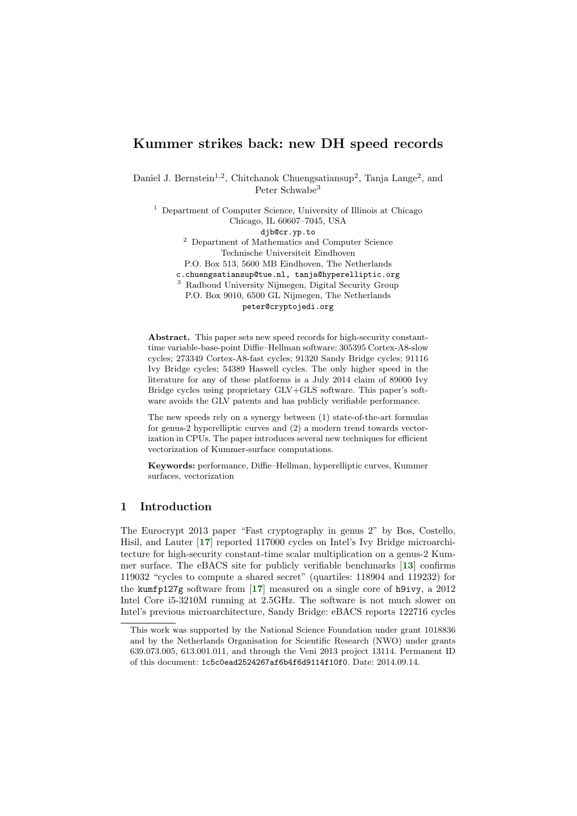# Kummer strikes back: new DH speed records

Daniel J. Bernstein<sup>1,2</sup>, Chitchanok Chuengsatiansup<sup>2</sup>, Tanja Lange<sup>2</sup>, and Peter Schwabe<sup>3</sup>

<sup>1</sup> Department of Computer Science, University of Illinois at Chicago Chicago, IL 60607–7045, USA djb@cr.yp.to

<sup>2</sup> Department of Mathematics and Computer Science Technische Universiteit Eindhoven

P.O. Box 513, 5600 MB Eindhoven, The Netherlands

c.chuengsatiansup@tue.nl, tanja@hyperelliptic.org

<sup>3</sup> Radboud University Nijmegen, Digital Security Group

P.O. Box 9010, 6500 GL Nijmegen, The Netherlands peter@cryptojedi.org

Abstract. This paper sets new speed records for high-security constanttime variable-base-point Diffie–Hellman software: 305395 Cortex-A8-slow cycles; 273349 Cortex-A8-fast cycles; 91320 Sandy Bridge cycles; 91116 Ivy Bridge cycles; 54389 Haswell cycles. The only higher speed in the literature for any of these platforms is a July 2014 claim of 89000 Ivy Bridge cycles using proprietary GLV+GLS software. This paper's software avoids the GLV patents and has publicly verifiable performance.

The new speeds rely on a synergy between (1) state-of-the-art formulas for genus-2 hyperelliptic curves and (2) a modern trend towards vectorization in CPUs. The paper introduces several new techniques for efficient vectorization of Kummer-surface computations.

Keywords: performance, Diffie–Hellman, hyperelliptic curves, Kummer surfaces, vectorization

# 1 Introduction

The Eurocrypt 2013 paper "Fast cryptography in genus 2" by Bos, Costello, Hisil, and Lauter [[17](#page-20-0)] reported 117000 cycles on Intel's Ivy Bridge microarchitecture for high-security constant-time scalar multiplication on a genus-2 Kummer surface. The eBACS site for publicly verifiable benchmarks [[13](#page-20-1)] confirms 119032 "cycles to compute a shared secret" (quartiles: 118904 and 119232) for the kumfp127g software from [[17](#page-20-0)] measured on a single core of h9ivy, a 2012 Intel Core i5-3210M running at 2.5GHz. The software is not much slower on Intel's previous microarchitecture, Sandy Bridge: eBACS reports 122716 cycles

This work was supported by the National Science Foundation under grant 1018836 and by the Netherlands Organisation for Scientific Research (NWO) under grants 639.073.005, 613.001.011, and through the Veni 2013 project 13114. Permanent ID of this document: 1c5c0ead2524267af6b4f6d9114f10f0. Date: 2014.09.14.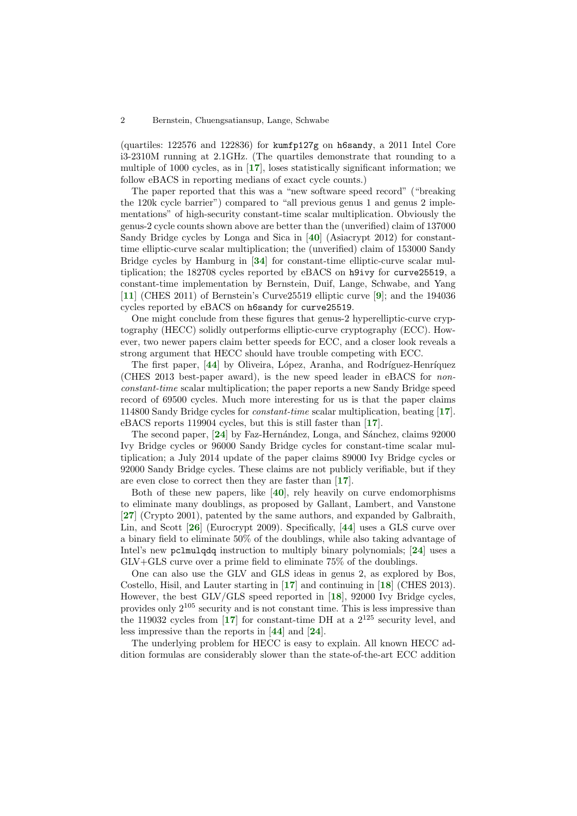(quartiles: 122576 and 122836) for kumfp127g on h6sandy, a 2011 Intel Core i3-2310M running at 2.1GHz. (The quartiles demonstrate that rounding to a multiple of 1000 cycles, as in  $\left[17\right]$  $\left[17\right]$  $\left[17\right]$ , loses statistically significant information; we follow eBACS in reporting medians of exact cycle counts.)

The paper reported that this was a "new software speed record" ("breaking the 120k cycle barrier") compared to "all previous genus 1 and genus 2 implementations" of high-security constant-time scalar multiplication. Obviously the genus-2 cycle counts shown above are better than the (unverified) claim of 137000 Sandy Bridge cycles by Longa and Sica in [[40](#page-20-2)] (Asiacrypt 2012) for constanttime elliptic-curve scalar multiplication; the (unverified) claim of 153000 Sandy Bridge cycles by Hamburg in [[34](#page-20-3)] for constant-time elliptic-curve scalar multiplication; the 182708 cycles reported by eBACS on h9ivy for curve25519, a constant-time implementation by Bernstein, Duif, Lange, Schwabe, and Yang [[11](#page-19-0)] (CHES 2011) of Bernstein's Curve25519 elliptic curve [[9](#page-19-1)]; and the 194036 cycles reported by eBACS on h6sandy for curve25519.

One might conclude from these figures that genus-2 hyperelliptic-curve cryptography (HECC) solidly outperforms elliptic-curve cryptography (ECC). However, two newer papers claim better speeds for ECC, and a closer look reveals a strong argument that HECC should have trouble competing with ECC.

The first paper, [[44](#page-20-4)] by Oliveira, López, Aranha, and Rodríguez-Henríquez (CHES 2013 best-paper award), is the new speed leader in eBACS for nonconstant-time scalar multiplication; the paper reports a new Sandy Bridge speed record of 69500 cycles. Much more interesting for us is that the paper claims 114800 Sandy Bridge cycles for constant-time scalar multiplication, beating [[17](#page-20-0)]. eBACS reports 119904 cycles, but this is still faster than [[17](#page-20-0)].

The second paper, [[24](#page-20-5)] by Faz-Hernández, Longa, and Sánchez, claims 92000 Ivy Bridge cycles or 96000 Sandy Bridge cycles for constant-time scalar multiplication; a July 2014 update of the paper claims 89000 Ivy Bridge cycles or 92000 Sandy Bridge cycles. These claims are not publicly verifiable, but if they are even close to correct then they are faster than [[17](#page-20-0)].

Both of these new papers, like [[40](#page-20-2)], rely heavily on curve endomorphisms to eliminate many doublings, as proposed by Gallant, Lambert, and Vanstone [[27](#page-20-6)] (Crypto 2001), patented by the same authors, and expanded by Galbraith, Lin, and Scott [[26](#page-20-7)] (Eurocrypt 2009). Specifically, [[44](#page-20-4)] uses a GLS curve over a binary field to eliminate 50% of the doublings, while also taking advantage of Intel's new pclmulqdq instruction to multiply binary polynomials; [[24](#page-20-5)] uses a GLV+GLS curve over a prime field to eliminate 75% of the doublings.

One can also use the GLV and GLS ideas in genus 2, as explored by Bos, Costello, Hisil, and Lauter starting in [[17](#page-20-0)] and continuing in [[18](#page-20-8)] (CHES 2013). However, the best GLV/GLS speed reported in [[18](#page-20-8)], 92000 Ivy Bridge cycles, provides only 2<sup>105</sup> security and is not constant time. This is less impressive than the 119032 cycles from  $\left[17\right]$  $\left[17\right]$  $\left[17\right]$  for constant-time DH at a  $2^{125}$  security level, and less impressive than the reports in [[44](#page-20-4)] and [[24](#page-20-5)].

The underlying problem for HECC is easy to explain. All known HECC addition formulas are considerably slower than the state-of-the-art ECC addition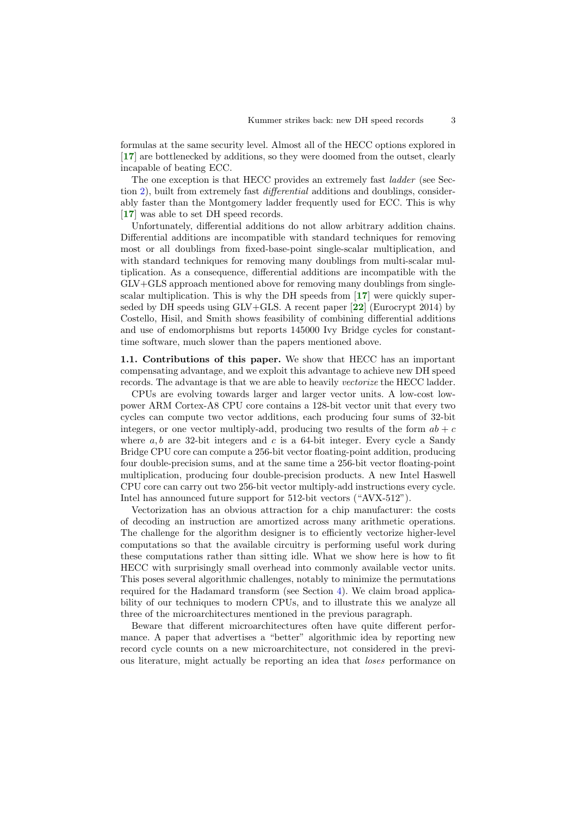formulas at the same security level. Almost all of the HECC options explored in [[17](#page-20-0)] are bottlenecked by additions, so they were doomed from the outset, clearly incapable of beating ECC.

The one exception is that HECC provides an extremely fast ladder (see Section [2\)](#page-4-0), built from extremely fast differential additions and doublings, considerably faster than the Montgomery ladder frequently used for ECC. This is why [[17](#page-20-0)] was able to set DH speed records.

Unfortunately, differential additions do not allow arbitrary addition chains. Differential additions are incompatible with standard techniques for removing most or all doublings from fixed-base-point single-scalar multiplication, and with standard techniques for removing many doublings from multi-scalar multiplication. As a consequence, differential additions are incompatible with the GLV+GLS approach mentioned above for removing many doublings from singlescalar multiplication. This is why the DH speeds from [[17](#page-20-0)] were quickly superseded by DH speeds using  $GLV+GLS$ . A recent paper  $[22]$  $[22]$  $[22]$  (Eurocrypt 2014) by Costello, Hisil, and Smith shows feasibility of combining differential additions and use of endomorphisms but reports 145000 Ivy Bridge cycles for constanttime software, much slower than the papers mentioned above.

1.1. Contributions of this paper. We show that HECC has an important compensating advantage, and we exploit this advantage to achieve new DH speed records. The advantage is that we are able to heavily vectorize the HECC ladder.

CPUs are evolving towards larger and larger vector units. A low-cost lowpower ARM Cortex-A8 CPU core contains a 128-bit vector unit that every two cycles can compute two vector additions, each producing four sums of 32-bit integers, or one vector multiply-add, producing two results of the form  $ab + c$ where  $a, b$  are 32-bit integers and c is a 64-bit integer. Every cycle a Sandy Bridge CPU core can compute a 256-bit vector floating-point addition, producing four double-precision sums, and at the same time a 256-bit vector floating-point multiplication, producing four double-precision products. A new Intel Haswell CPU core can carry out two 256-bit vector multiply-add instructions every cycle. Intel has announced future support for 512-bit vectors ("AVX-512").

Vectorization has an obvious attraction for a chip manufacturer: the costs of decoding an instruction are amortized across many arithmetic operations. The challenge for the algorithm designer is to efficiently vectorize higher-level computations so that the available circuitry is performing useful work during these computations rather than sitting idle. What we show here is how to fit HECC with surprisingly small overhead into commonly available vector units. This poses several algorithmic challenges, notably to minimize the permutations required for the Hadamard transform (see Section [4\)](#page-11-0). We claim broad applicability of our techniques to modern CPUs, and to illustrate this we analyze all three of the microarchitectures mentioned in the previous paragraph.

Beware that different microarchitectures often have quite different performance. A paper that advertises a "better" algorithmic idea by reporting new record cycle counts on a new microarchitecture, not considered in the previous literature, might actually be reporting an idea that loses performance on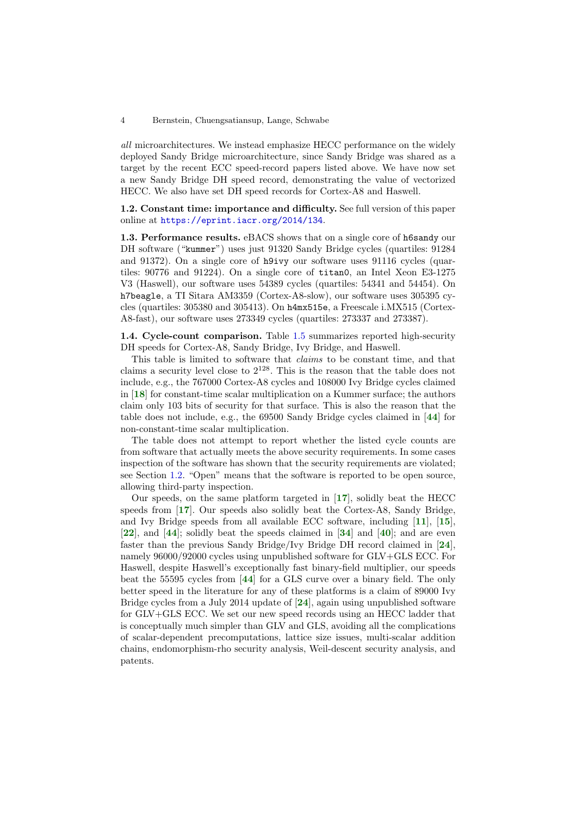all microarchitectures. We instead emphasize HECC performance on the widely deployed Sandy Bridge microarchitecture, since Sandy Bridge was shared as a target by the recent ECC speed-record papers listed above. We have now set a new Sandy Bridge DH speed record, demonstrating the value of vectorized HECC. We also have set DH speed records for Cortex-A8 and Haswell.

<span id="page-3-0"></span>1.2. Constant time: importance and difficulty. See full version of this paper online at <https://eprint.iacr.org/2014/134>.

1.3. Performance results. eBACS shows that on a single core of h6sandy our DH software ("kummer") uses just 91320 Sandy Bridge cycles (quartiles: 91284 and 91372). On a single core of h9ivy our software uses 91116 cycles (quartiles: 90776 and 91224). On a single core of titan0, an Intel Xeon E3-1275 V3 (Haswell), our software uses 54389 cycles (quartiles: 54341 and 54454). On h7beagle, a TI Sitara AM3359 (Cortex-A8-slow), our software uses 305395 cycles (quartiles: 305380 and 305413). On h4mx515e, a Freescale i.MX515 (Cortex-A8-fast), our software uses 273349 cycles (quartiles: 273337 and 273387).

1.4. Cycle-count comparison. Table [1.5](#page-4-1) summarizes reported high-security DH speeds for Cortex-A8, Sandy Bridge, Ivy Bridge, and Haswell.

This table is limited to software that claims to be constant time, and that claims a security level close to  $2^{128}$ . This is the reason that the table does not include, e.g., the 767000 Cortex-A8 cycles and 108000 Ivy Bridge cycles claimed in [[18](#page-20-8)] for constant-time scalar multiplication on a Kummer surface; the authors claim only 103 bits of security for that surface. This is also the reason that the table does not include, e.g., the 69500 Sandy Bridge cycles claimed in [[44](#page-20-4)] for non-constant-time scalar multiplication.

The table does not attempt to report whether the listed cycle counts are from software that actually meets the above security requirements. In some cases inspection of the software has shown that the security requirements are violated; see Section [1.2.](#page-3-0) "Open" means that the software is reported to be open source, allowing third-party inspection.

Our speeds, on the same platform targeted in [[17](#page-20-0)], solidly beat the HECC speeds from  $\left[17\right]$  $\left[17\right]$  $\left[17\right]$ . Our speeds also solidly beat the Cortex-A8, Sandy Bridge, and Ivy Bridge speeds from all available ECC software, including [[11](#page-19-0)], [[15](#page-20-10)],  $[22]$  $[22]$  $[22]$ , and  $[44]$  $[44]$  $[44]$ ; solidly beat the speeds claimed in  $[34]$  $[34]$  $[34]$  and  $[40]$  $[40]$  $[40]$ ; and are even faster than the previous Sandy Bridge/Ivy Bridge DH record claimed in [[24](#page-20-5)], namely 96000/92000 cycles using unpublished software for GLV+GLS ECC. For Haswell, despite Haswell's exceptionally fast binary-field multiplier, our speeds beat the 55595 cycles from [[44](#page-20-4)] for a GLS curve over a binary field. The only better speed in the literature for any of these platforms is a claim of 89000 Ivy Bridge cycles from a July 2014 update of [[24](#page-20-5)], again using unpublished software for GLV+GLS ECC. We set our new speed records using an HECC ladder that is conceptually much simpler than GLV and GLS, avoiding all the complications of scalar-dependent precomputations, lattice size issues, multi-scalar addition chains, endomorphism-rho security analysis, Weil-descent security analysis, and patents.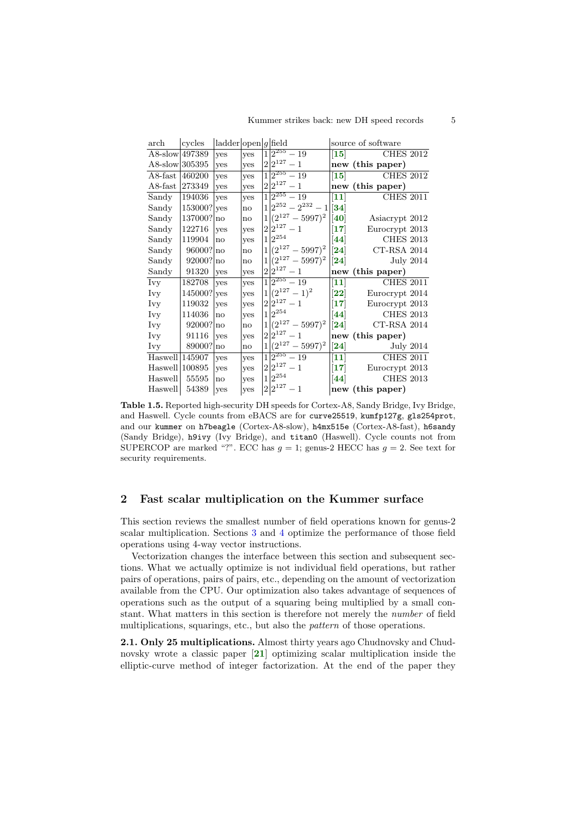| $\rm{arch}$          | cycles    | $  \text{ladder}   \text{open}   g   \text{field}$ |                        |   |                                |                                  | source of software                   |
|----------------------|-----------|----------------------------------------------------|------------------------|---|--------------------------------|----------------------------------|--------------------------------------|
| A8-slow 497389       |           | yes                                                | ves                    | 1 | $\sqrt{2^{255}-19}$            |                                  | $\vert 15 \vert$<br><b>CHES 2012</b> |
| A8-slow 305395       |           | yes                                                | yes                    |   | $2 2^{127}-1$                  |                                  | new (this paper)                     |
| $A8$ -fast           | 460200    | yes                                                | yes                    |   | $\sqrt{2^{255}-19}$            | $\vert15\rangle$                 | <b>CHES 2012</b>                     |
| $A8$ -fast           | 273349    | yes                                                | yes                    |   | $2 2^{127}-1$                  |                                  | new (this paper)                     |
| Sandy                | 194036    | yes                                                | yes                    |   | $\frac{1}{2^{255}-19}$         | $\vert 11 \vert$                 | <b>CHES 2011</b>                     |
| Sandy                | 153000?   | yes                                                | no                     |   | $1 2^{252} - 2^{232} - 1  34 $ |                                  |                                      |
| Sandy                | 137000?   | no                                                 | no                     |   | $1 (2^{127}-5997)^2$           | $\vert [40]$                     | Asiacrypt 2012                       |
| Sandy                | 122716    | yes                                                | yes                    |   | $2 2^{127}-1$                  | $\vert 17 \vert$                 | Eurocrypt 2013                       |
| Sandy                | 119904    | no                                                 | <b>ves</b>             |   | $1 2^{254}$                    | $\left[ 44\right]$               | <b>CHES 2013</b>                     |
| Sandy                | 96000?    | Ino                                                | $\mathbf{n}\mathbf{o}$ |   | $1 (2^{127}-5997)^2$           | $\bm{[24]}$                      | <b>CT-RSA 2014</b>                   |
| Sandy                | 92000? no |                                                    | $\mathbf{n}\mathbf{o}$ |   | $1 (2^{127}-5997)^2$           | $\left[ 24\right]$               | <b>July 2014</b>                     |
| Sandy                | 91320     | yes                                                | yes                    |   | $2 2^{127}-1$                  |                                  | new (this paper)                     |
| Ivy                  | 182708    | ves                                                | <b>ves</b>             |   | $1\overline{)2^{255}-19}$      | $\vert 11 \vert$                 | <b>CHES 2011</b>                     |
| Ivy                  | 145000?   | yes                                                | yes                    |   | $1 (2^{127}-1)^2$              | $\bm{[22]}$                      | Eurocrypt 2014                       |
| Ivy                  | 119032    |                                                    |                        |   |                                |                                  |                                      |
|                      |           | ves                                                | yes                    |   | $2 2^{127}-1$                  | $\vert 17 \vert$                 | Eurocrypt 2013                       |
| Ivy                  | 114036    | no                                                 | yes                    |   | $1 2^{254}$                    | [44]                             | <b>CHES 2013</b>                     |
| Ivy                  | 92000?    | no                                                 | $\mathbf{n}\mathbf{o}$ |   | $1 (2^{127}-5997)^2$           | $\left[ 24\right]$               | CT-RSA 2014                          |
| Ivy                  | 91116     | yes                                                | yes                    |   | $2 2^{127}-1$                  |                                  | new (this paper)                     |
| Ivy                  | 89000?    | no                                                 | no                     |   | $1 (2^{127}-5997)^2$           | $\left[ 24\right]$               | July 2014                            |
| $H$ aswell   145907  |           | ves                                                | yes                    |   | $\sqrt{1 2^{255}-19}$          | $\vert 11 \vert$                 | <b>CHES 2011</b>                     |
| $H$ aswell $ 100895$ |           | yes                                                | yes                    |   | $2 2^{127}-1$                  |                                  | Eurocrypt 2013                       |
| Haswell              | 55595     | no                                                 | yes                    |   | $1 2^{254}$<br>$2 2^{127}-1$   | $\bm{[17]}$<br>$\left[44\right]$ | <b>CHES 2013</b>                     |

<span id="page-4-1"></span>Table 1.5. Reported high-security DH speeds for Cortex-A8, Sandy Bridge, Ivy Bridge, and Haswell. Cycle counts from eBACS are for curve25519, kumfp127g, gls254prot, and our kummer on h7beagle (Cortex-A8-slow), h4mx515e (Cortex-A8-fast), h6sandy (Sandy Bridge), h9ivy (Ivy Bridge), and titan0 (Haswell). Cycle counts not from SUPERCOP are marked "?". ECC has  $g = 1$ ; genus-2 HECC has  $g = 2$ . See text for security requirements.

### <span id="page-4-0"></span>2 Fast scalar multiplication on the Kummer surface

This section reviews the smallest number of field operations known for genus-2 scalar multiplication. Sections [3](#page-7-0) and [4](#page-11-0) optimize the performance of those field operations using 4-way vector instructions.

Vectorization changes the interface between this section and subsequent sections. What we actually optimize is not individual field operations, but rather pairs of operations, pairs of pairs, etc., depending on the amount of vectorization available from the CPU. Our optimization also takes advantage of sequences of operations such as the output of a squaring being multiplied by a small constant. What matters in this section is therefore not merely the number of field multiplications, squarings, etc., but also the *pattern* of those operations.

2.1. Only 25 multiplications. Almost thirty years ago Chudnovsky and Chudnovsky wrote a classic paper [[21](#page-20-11)] optimizing scalar multiplication inside the elliptic-curve method of integer factorization. At the end of the paper they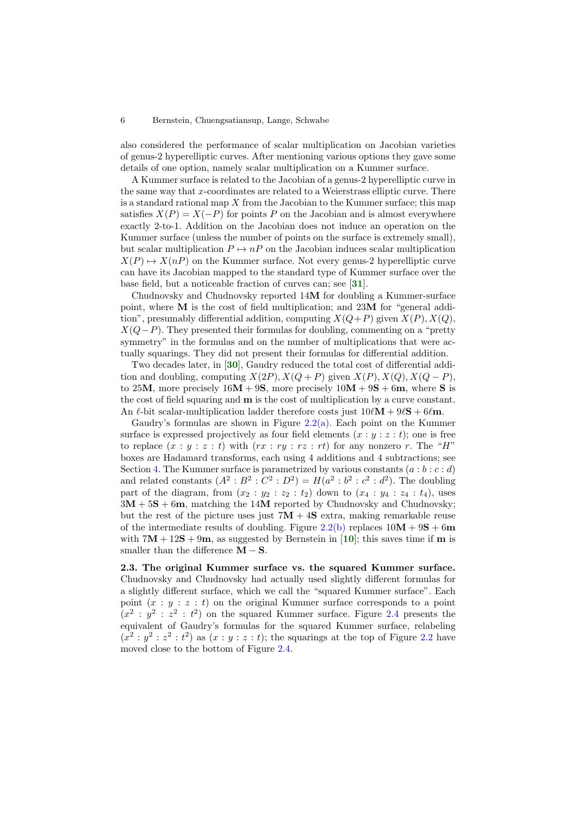also considered the performance of scalar multiplication on Jacobian varieties of genus-2 hyperelliptic curves. After mentioning various options they gave some details of one option, namely scalar multiplication on a Kummer surface.

A Kummer surface is related to the Jacobian of a genus-2 hyperelliptic curve in the same way that  $x$ -coordinates are related to a Weierstrass elliptic curve. There is a standard rational map  $X$  from the Jacobian to the Kummer surface; this map satisfies  $X(P) = X(-P)$  for points P on the Jacobian and is almost everywhere exactly 2-to-1. Addition on the Jacobian does not induce an operation on the Kummer surface (unless the number of points on the surface is extremely small), but scalar multiplication  $P \mapsto nP$  on the Jacobian induces scalar multiplication  $X(P) \mapsto X(nP)$  on the Kummer surface. Not every genus-2 hyperelliptic curve can have its Jacobian mapped to the standard type of Kummer surface over the base field, but a noticeable fraction of curves can; see [[31](#page-20-12)].

Chudnovsky and Chudnovsky reported 14M for doubling a Kummer-surface point, where M is the cost of field multiplication; and 23M for "general addition", presumably differential addition, computing  $X(Q+P)$  given  $X(P)$ ,  $X(Q)$ ,  $X(Q-P)$ . They presented their formulas for doubling, commenting on a "pretty" symmetry" in the formulas and on the number of multiplications that were actually squarings. They did not present their formulas for differential addition.

Two decades later, in [[30](#page-20-13)], Gaudry reduced the total cost of differential addition and doubling, computing  $X(2P), X(Q + P)$  given  $X(P), X(Q), X(Q - P)$ , to 25M, more precisely  $16M + 9S$ , more precisely  $10M + 9S + 6m$ , where S is the cost of field squaring and m is the cost of multiplication by a curve constant. An  $\ell$ -bit scalar-multiplication ladder therefore costs just  $10\ell\mathbf{M} + 9\ell\mathbf{S} + 6\ell\mathbf{m}$ .

Gaudry's formulas are shown in Figure [2.2\(a\).](#page-6-0) Each point on the Kummer surface is expressed projectively as four field elements  $(x : y : z : t)$ ; one is free to replace  $(x : y : z : t)$  with  $(rx : ry : rz : rt)$  for any nonzero r. The "H" boxes are Hadamard transforms, each using 4 additions and 4 subtractions; see Section [4.](#page-11-0) The Kummer surface is parametrized by various constants  $(a : b : c : d)$ and related constants  $(A^2 : B^2 : C^2 : D^2) = H(a^2 : b^2 : c^2 : d^2)$ . The doubling part of the diagram, from  $(x_2 : y_2 : z_2 : t_2)$  down to  $(x_4 : y_4 : z_4 : t_4)$ , uses  $3M + 5S + 6m$ , matching the 14M reported by Chudnovsky and Chudnovsky; but the rest of the picture uses just  $7M + 4S$  extra, making remarkable reuse of the intermediate results of doubling. Figure [2.2\(b\)](#page-6-1) replaces  $10M + 9S + 6m$ with  $7M + 12S + 9m$ , as suggested by Bernstein in [[10](#page-19-2)]; this saves time if m is smaller than the difference  $\mathbf{M} - \mathbf{S}$ .

2.3. The original Kummer surface vs. the squared Kummer surface. Chudnovsky and Chudnovsky had actually used slightly different formulas for a slightly different surface, which we call the "squared Kummer surface". Each point  $(x : y : z : t)$  on the original Kummer surface corresponds to a point  $(x^2 : y^2 : z^2 : t^2)$  on the squared Kummer surface. Figure [2.4](#page-7-1) presents the equivalent of Gaudry's formulas for the squared Kummer surface, relabeling  $(x^2 : y^2 : z^2 : t^2)$  as  $(x : y : z : t)$ ; the squarings at the top of Figure [2.2](#page-6-2) have moved close to the bottom of Figure [2.4.](#page-7-1)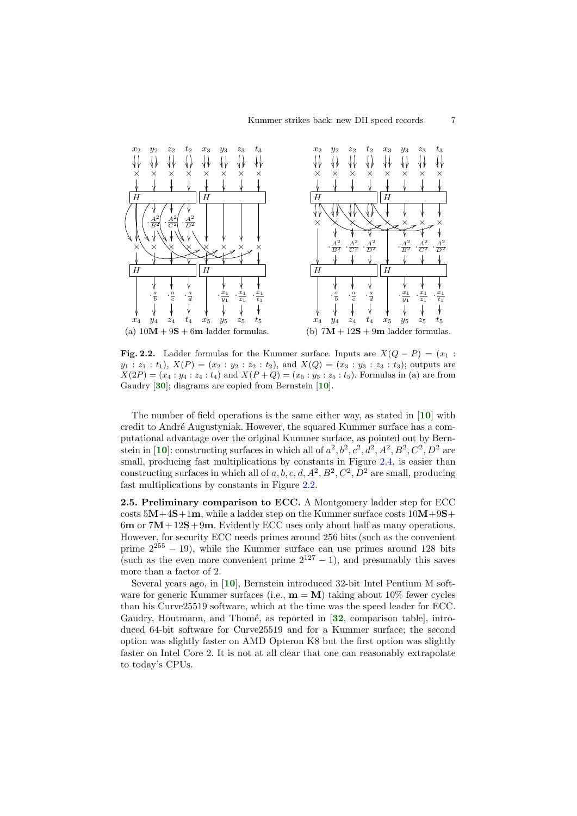<span id="page-6-1"></span><span id="page-6-0"></span>

<span id="page-6-2"></span>Fig. 2.2. Ladder formulas for the Kummer surface. Inputs are  $X(Q - P) = (x_1 :$  $y_1 : z_1 : t_1$ ,  $X(P) = (x_2 : y_2 : z_2 : t_2)$ , and  $X(Q) = (x_3 : y_3 : z_3 : t_3)$ ; outputs are  $X(2P) = (x_4 : y_4 : z_4 : t_4)$  and  $X(P+Q) = (x_5 : y_5 : z_5 : t_5)$ . Formulas in (a) are from Gaudry [[30](#page-20-13)]; diagrams are copied from Bernstein [[10](#page-19-2)].

The number of field operations is the same either way, as stated in [[10](#page-19-2)] with credit to André Augustyniak. However, the squared Kummer surface has a computational advantage over the original Kummer surface, as pointed out by Bern-stein in [[10](#page-19-2)]: constructing surfaces in which all of  $a^2$ ,  $b^2$ ,  $c^2$ ,  $d^2$ ,  $A^2$ ,  $B^2$ ,  $C^2$ ,  $D^2$  are small, producing fast multiplications by constants in Figure [2.4,](#page-7-1) is easier than constructing surfaces in which all of  $a, b, c, d, A^2, B^2, C^2, D^2$  are small, producing fast multiplications by constants in Figure [2.2.](#page-6-2)

2.5. Preliminary comparison to ECC. A Montgomery ladder step for ECC costs  $5M+4S+1m$ , while a ladder step on the Kummer surface costs  $10M+9S+$ 6m or  $7M + 12S + 9m$ . Evidently ECC uses only about half as many operations. However, for security ECC needs primes around 256 bits (such as the convenient prime  $2^{255} - 19$ ), while the Kummer surface can use primes around 128 bits (such as the even more convenient prime  $2^{127} - 1$ ), and presumably this saves more than a factor of 2.

Several years ago, in [[10](#page-19-2)], Bernstein introduced 32-bit Intel Pentium M software for generic Kummer surfaces (i.e.,  $\mathbf{m} = \mathbf{M}$ ) taking about 10% fewer cycles than his Curve25519 software, which at the time was the speed leader for ECC. Gaudry, Houtmann, and Thomé, as reported in [[32](#page-20-14), comparison table], introduced 64-bit software for Curve25519 and for a Kummer surface; the second option was slightly faster on AMD Opteron K8 but the first option was slightly faster on Intel Core 2. It is not at all clear that one can reasonably extrapolate to today's CPUs.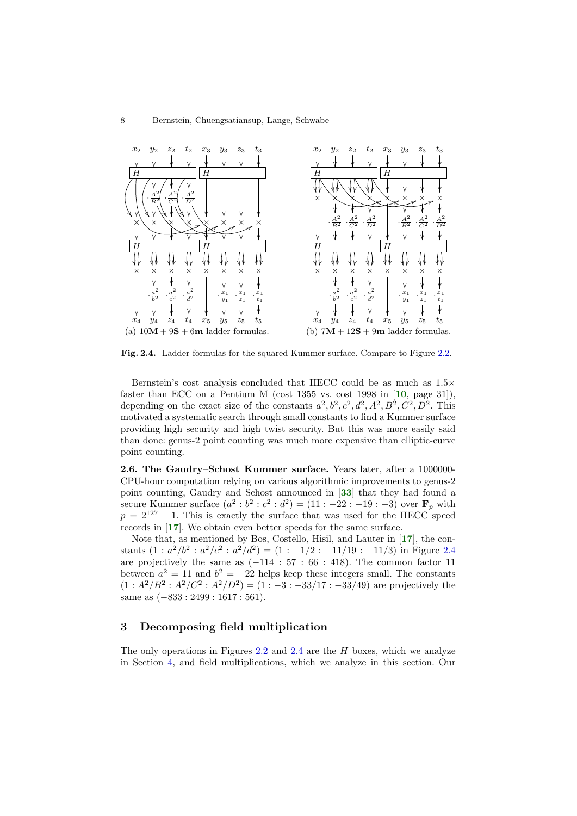<span id="page-7-2"></span>

<span id="page-7-1"></span>Fig. 2.4. Ladder formulas for the squared Kummer surface. Compare to Figure [2.2.](#page-6-2)

Bernstein's cost analysis concluded that HECC could be as much as 1.5× faster than ECC on a Pentium M (cost  $1355$  vs. cost  $1998$  in [[10](#page-19-2), page 31]), depending on the exact size of the constants  $a^2, b^2, c^2, d^2, A^2, B^2, C^2, D^2$ . This motivated a systematic search through small constants to find a Kummer surface providing high security and high twist security. But this was more easily said than done: genus-2 point counting was much more expensive than elliptic-curve point counting.

<span id="page-7-3"></span>2.6. The Gaudry–Schost Kummer surface. Years later, after a 1000000- CPU-hour computation relying on various algorithmic improvements to genus-2 point counting, Gaudry and Schost announced in [[33](#page-20-15)] that they had found a secure Kummer surface  $(a^2 : b^2 : c^2 : d^2) = (11 : -22 : -19 : -3)$  over  $\mathbf{F}_p$  with  $p = 2^{127} - 1$ . This is exactly the surface that was used for the HECC speed records in [[17](#page-20-0)]. We obtain even better speeds for the same surface.

Note that, as mentioned by Bos, Costello, Hisil, and Lauter in [[17](#page-20-0)], the constants  $(1 : a^2/b^2 : a^2/c^2 : a^2/d^2) = (1 : -1/2 : -11/19 : -11/3)$  in Figure [2.4](#page-7-1) are projectively the same as  $(-114 : 57 : 66 : 418)$ . The common factor 11 between  $a^2 = 11$  and  $b^2 = -22$  helps keep these integers small. The constants  $(1: A^2/B^2: A^2/C^2: A^2/D^2) = (1:-3:-33/17:-33/49)$  are projectively the same as  $(-833:2499:1617:561)$ .

# <span id="page-7-0"></span>3 Decomposing field multiplication

The only operations in Figures [2.2](#page-6-2) and [2.4](#page-7-1) are the  $H$  boxes, which we analyze in Section [4,](#page-11-0) and field multiplications, which we analyze in this section. Our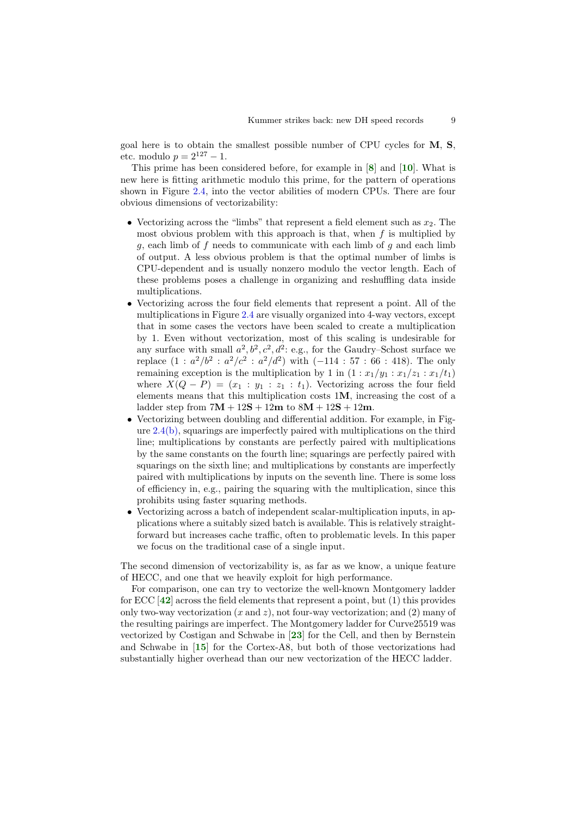goal here is to obtain the smallest possible number of CPU cycles for M, S, etc. modulo  $p = 2^{127} - 1$ .

This prime has been considered before, for example in [[8](#page-19-3)] and [[10](#page-19-2)]. What is new here is fitting arithmetic modulo this prime, for the pattern of operations shown in Figure [2.4,](#page-7-1) into the vector abilities of modern CPUs. There are four obvious dimensions of vectorizability:

- Vectorizing across the "limbs" that represent a field element such as  $x_2$ . The most obvious problem with this approach is that, when  $f$  is multiplied by  $g$ , each limb of  $f$  needs to communicate with each limb of  $g$  and each limb of output. A less obvious problem is that the optimal number of limbs is CPU-dependent and is usually nonzero modulo the vector length. Each of these problems poses a challenge in organizing and reshuffling data inside multiplications.
- Vectorizing across the four field elements that represent a point. All of the multiplications in Figure [2.4](#page-7-1) are visually organized into 4-way vectors, except that in some cases the vectors have been scaled to create a multiplication by 1. Even without vectorization, most of this scaling is undesirable for any surface with small  $a^2, b^2, c^2, d^2$ : e.g., for the Gaudry–Schost surface we replace  $(1 : a^2/b^2 : a^2/c^2 : a^2/d^2)$  with  $(-114 : 57 : 66 : 418)$ . The only remaining exception is the multiplication by 1 in  $(1 : x_1/y_1 : x_1/z_1 : x_1/t_1)$ where  $X(Q - P) = (x_1 : y_1 : z_1 : t_1)$ . Vectorizing across the four field elements means that this multiplication costs 1M, increasing the cost of a ladder step from  $7M + 12S + 12m$  to  $8M + 12S + 12m$ .
- Vectorizing between doubling and differential addition. For example, in Figure [2.4\(b\),](#page-7-2) squarings are imperfectly paired with multiplications on the third line; multiplications by constants are perfectly paired with multiplications by the same constants on the fourth line; squarings are perfectly paired with squarings on the sixth line; and multiplications by constants are imperfectly paired with multiplications by inputs on the seventh line. There is some loss of efficiency in, e.g., pairing the squaring with the multiplication, since this prohibits using faster squaring methods.
- Vectorizing across a batch of independent scalar-multiplication inputs, in applications where a suitably sized batch is available. This is relatively straightforward but increases cache traffic, often to problematic levels. In this paper we focus on the traditional case of a single input.

The second dimension of vectorizability is, as far as we know, a unique feature of HECC, and one that we heavily exploit for high performance.

For comparison, one can try to vectorize the well-known Montgomery ladder for ECC  $[42]$  $[42]$  $[42]$  across the field elements that represent a point, but  $(1)$  this provides only two-way vectorization  $(x \text{ and } z)$ , not four-way vectorization; and  $(2)$  many of the resulting pairings are imperfect. The Montgomery ladder for Curve25519 was vectorized by Costigan and Schwabe in [[23](#page-20-17)] for the Cell, and then by Bernstein and Schwabe in [[15](#page-20-10)] for the Cortex-A8, but both of those vectorizations had substantially higher overhead than our new vectorization of the HECC ladder.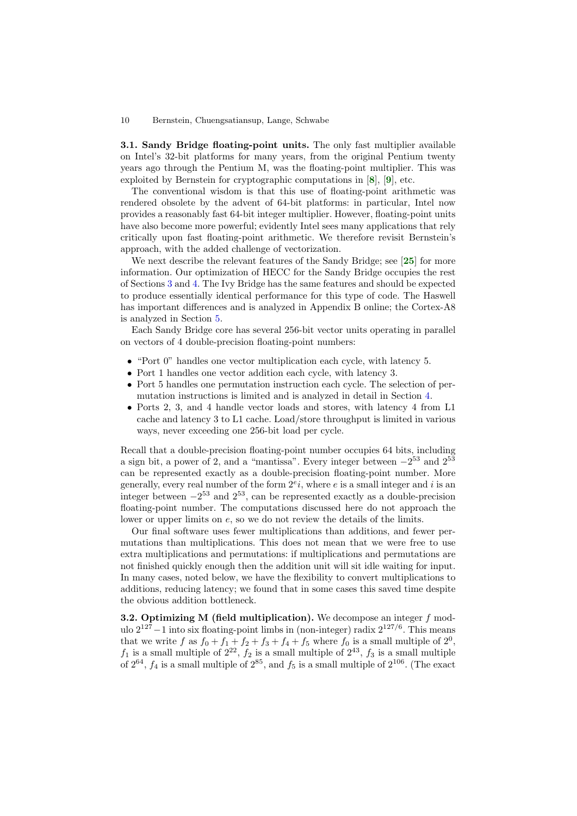3.1. Sandy Bridge floating-point units. The only fast multiplier available on Intel's 32-bit platforms for many years, from the original Pentium twenty years ago through the Pentium M, was the floating-point multiplier. This was exploited by Bernstein for cryptographic computations in [[8](#page-19-3)], [[9](#page-19-1)], etc.

The conventional wisdom is that this use of floating-point arithmetic was rendered obsolete by the advent of 64-bit platforms: in particular, Intel now provides a reasonably fast 64-bit integer multiplier. However, floating-point units have also become more powerful; evidently Intel sees many applications that rely critically upon fast floating-point arithmetic. We therefore revisit Bernstein's approach, with the added challenge of vectorization.

We next describe the relevant features of the Sandy Bridge; see [[25](#page-20-18)] for more information. Our optimization of HECC for the Sandy Bridge occupies the rest of Sections [3](#page-7-0) and [4.](#page-11-0) The Ivy Bridge has the same features and should be expected to produce essentially identical performance for this type of code. The Haswell has important differences and is analyzed in Appendix B online; the Cortex-A8 is analyzed in Section [5.](#page-17-0)

Each Sandy Bridge core has several 256-bit vector units operating in parallel on vectors of 4 double-precision floating-point numbers:

- "Port 0" handles one vector multiplication each cycle, with latency 5.
- Port 1 handles one vector addition each cycle, with latency 3.
- Port 5 handles one permutation instruction each cycle. The selection of permutation instructions is limited and is analyzed in detail in Section [4.](#page-11-0)
- Ports 2, 3, and 4 handle vector loads and stores, with latency 4 from L1 cache and latency 3 to L1 cache. Load/store throughput is limited in various ways, never exceeding one 256-bit load per cycle.

Recall that a double-precision floating-point number occupies 64 bits, including a sign bit, a power of 2, and a "mantissa". Every integer between  $-2^{53}$  and  $2^{53}$ can be represented exactly as a double-precision floating-point number. More generally, every real number of the form  $2^{e}i$ , where e is a small integer and i is an integer between  $-2^{53}$  and  $2^{53}$ , can be represented exactly as a double-precision floating-point number. The computations discussed here do not approach the lower or upper limits on e, so we do not review the details of the limits.

Our final software uses fewer multiplications than additions, and fewer permutations than multiplications. This does not mean that we were free to use extra multiplications and permutations: if multiplications and permutations are not finished quickly enough then the addition unit will sit idle waiting for input. In many cases, noted below, we have the flexibility to convert multiplications to additions, reducing latency; we found that in some cases this saved time despite the obvious addition bottleneck.

**3.2. Optimizing M (field multiplication).** We decompose an integer  $f$  modulo  $2^{127} - 1$  into six floating-point limbs in (non-integer) radix  $2^{127/6}$ . This means that we write f as  $f_0 + f_1 + f_2 + f_3 + f_4 + f_5$  where  $f_0$  is a small multiple of  $2^0$ ,  $f_1$  is a small multiple of  $2^{22}$ ,  $f_2$  is a small multiple of  $2^{43}$ ,  $f_3$  is a small multiple of  $2^{64}$ ,  $f_4$  is a small multiple of  $2^{85}$ , and  $f_5$  is a small multiple of  $2^{106}$ . (The exact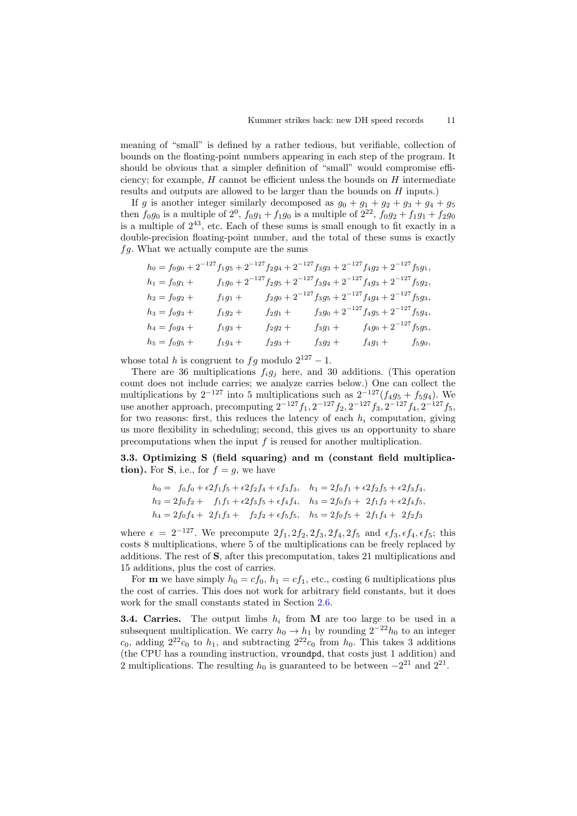meaning of "small" is defined by a rather tedious, but verifiable, collection of bounds on the floating-point numbers appearing in each step of the program. It should be obvious that a simpler definition of "small" would compromise efficiency; for example,  $H$  cannot be efficient unless the bounds on  $H$  intermediate results and outputs are allowed to be larger than the bounds on H inputs.)

If g is another integer similarly decomposed as  $g_0 + g_1 + g_2 + g_3 + g_4 + g_5$ then  $f_0g_0$  is a multiple of  $2^0$ ,  $f_0g_1 + f_1g_0$  is a multiple of  $2^{22}$ ,  $f_0g_2 + f_1g_1 + f_2g_0$ is a multiple of  $2^{43}$ , etc. Each of these sums is small enough to fit exactly in a double-precision floating-point number, and the total of these sums is exactly  $fg.$  What we actually compute are the sums

$$
h_0 = f_0g_0 + 2^{-127}f_1g_5 + 2^{-127}f_2g_4 + 2^{-127}f_3g_3 + 2^{-127}f_4g_2 + 2^{-127}f_5g_1,
$$
  
\n
$$
h_1 = f_0g_1 + f_1g_0 + 2^{-127}f_2g_5 + 2^{-127}f_3g_4 + 2^{-127}f_4g_3 + 2^{-127}f_5g_2,
$$
  
\n
$$
h_2 = f_0g_2 + f_1g_1 + f_2g_0 + 2^{-127}f_3g_5 + 2^{-127}f_4g_4 + 2^{-127}f_5g_3,
$$
  
\n
$$
h_3 = f_0g_3 + f_1g_2 + f_2g_1 + f_3g_0 + 2^{-127}f_4g_5 + 2^{-127}f_5g_4,
$$
  
\n
$$
h_4 = f_0g_4 + f_1g_3 + f_2g_2 + f_3g_1 + f_4g_0 + 2^{-127}f_5g_5,
$$
  
\n
$$
h_5 = f_0g_5 + f_1g_4 + f_2g_3 + f_3g_2 + f_4g_1 + f_5g_0,
$$

whose total h is congruent to  $fg$  modulo  $2^{127} - 1$ .

There are 36 multiplications  $f_i g_j$  here, and 30 additions. (This operation count does not include carries; we analyze carries below.) One can collect the multiplications by  $2^{-127}$  into 5 multiplications such as  $2^{-127}(f_4g_5 + f_5g_4)$ . We use another approach, precomputing  $2^{-127}f_1$ ,  $2^{-127}f_2$ ,  $2^{-127}f_3$ ,  $2^{-127}f_4$ ,  $2^{-127}f_5$ , for two reasons: first, this reduces the latency of each  $h_i$  computation, giving us more flexibility in scheduling; second, this gives us an opportunity to share precomputations when the input  $f$  is reused for another multiplication.

<span id="page-10-1"></span>3.3. Optimizing S (field squaring) and m (constant field multiplication). For S, i.e., for  $f = g$ , we have

$$
h_0 = f_0 f_0 + \epsilon 2 f_1 f_5 + \epsilon 2 f_2 f_4 + \epsilon f_3 f_3, \quad h_1 = 2 f_0 f_1 + \epsilon 2 f_2 f_5 + \epsilon 2 f_3 f_4,
$$
  
\n
$$
h_2 = 2 f_0 f_2 + f_1 f_1 + \epsilon 2 f_3 f_5 + \epsilon f_4 f_4, \quad h_3 = 2 f_0 f_3 + 2 f_1 f_2 + \epsilon 2 f_4 f_5,
$$
  
\n
$$
h_4 = 2 f_0 f_4 + 2 f_1 f_3 + f_2 f_2 + \epsilon f_5 f_5, \quad h_5 = 2 f_0 f_5 + 2 f_1 f_4 + 2 f_2 f_3
$$

where  $\epsilon = 2^{-127}$ . We precompute  $2f_1, 2f_2, 2f_3, 2f_4, 2f_5$  and  $\epsilon f_3, \epsilon f_4, \epsilon f_5$ ; this costs 8 multiplications, where 5 of the multiplications can be freely replaced by additions. The rest of S, after this precomputation, takes 21 multiplications and 15 additions, plus the cost of carries.

For **m** we have simply  $h_0 = cf_0$ ,  $h_1 = cf_1$ , etc., costing 6 multiplications plus the cost of carries. This does not work for arbitrary field constants, but it does work for the small constants stated in Section [2.6.](#page-7-3)

<span id="page-10-0"></span>**3.4. Carries.** The output limbs  $h_i$  from M are too large to be used in a subsequent multiplication. We carry  $h_0 \to h_1$  by rounding  $2^{-22}h_0$  to an integer  $c_0$ , adding  $2^{22}c_0$  to  $h_1$ , and subtracting  $2^{22}c_0$  from  $h_0$ . This takes 3 additions (the CPU has a rounding instruction, vroundpd, that costs just 1 addition) and 2 multiplications. The resulting  $h_0$  is guaranteed to be between  $-2^{21}$  and  $2^{21}$ .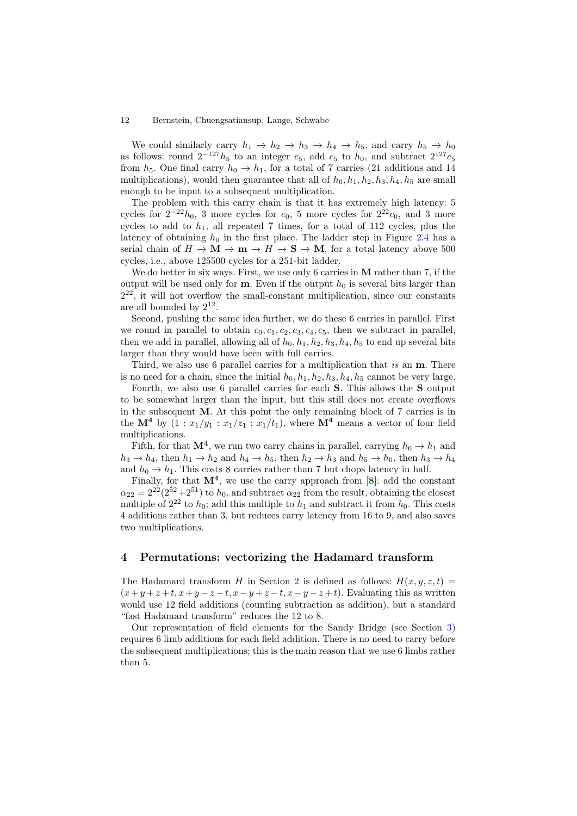We could similarly carry  $h_1 \rightarrow h_2 \rightarrow h_3 \rightarrow h_4 \rightarrow h_5$ , and carry  $h_5 \rightarrow h_0$ as follows: round  $2^{-127}h_5$  to an integer  $c_5$ , add  $c_5$  to  $h_0$ , and subtract  $2^{127}c_5$ from  $h_5$ . One final carry  $h_0 \rightarrow h_1$ , for a total of 7 carries (21 additions and 14 multiplications), would then guarantee that all of  $h_0$ ,  $h_1$ ,  $h_2$ ,  $h_3$ ,  $h_4$ ,  $h_5$  are small enough to be input to a subsequent multiplication.

The problem with this carry chain is that it has extremely high latency: 5 cycles for  $2^{-22}h_0$ , 3 more cycles for  $c_0$ , 5 more cycles for  $2^{22}c_0$ , and 3 more cycles to add to  $h_1$ , all repeated 7 times, for a total of 112 cycles, plus the latency of obtaining  $h_0$  in the first place. The ladder step in Figure [2.4](#page-7-1) has a serial chain of  $H \to \mathbf{M} \to \mathbf{m} \to H \to \mathbf{S} \to \mathbf{M}$ , for a total latency above 500 cycles, i.e., above 125500 cycles for a 251-bit ladder.

We do better in six ways. First, we use only 6 carries in **M** rather than 7, if the output will be used only for **. Even if the output**  $h_0$  **is several bits larger than** 2 <sup>22</sup>, it will not overflow the small-constant multiplication, since our constants are all bounded by  $2^{12}$ .

Second, pushing the same idea further, we do these 6 carries in parallel. First we round in parallel to obtain  $c_0, c_1, c_2, c_3, c_4, c_5$ , then we subtract in parallel, then we add in parallel, allowing all of  $h_0, h_1, h_2, h_3, h_4, h_5$  to end up several bits larger than they would have been with full carries.

Third, we also use 6 parallel carries for a multiplication that is an **m**. There is no need for a chain, since the initial  $h_0$ ,  $h_1$ ,  $h_2$ ,  $h_3$ ,  $h_4$ ,  $h_5$  cannot be very large.

Fourth, we also use 6 parallel carries for each S. This allows the S output to be somewhat larger than the input, but this still does not create overflows in the subsequent M. At this point the only remaining block of 7 carries is in the  $\mathbf{M}^4$  by  $(1 : x_1/y_1 : x_1/z_1 : x_1/t_1)$ , where  $\mathbf{M}^4$  means a vector of four field multiplications.

Fifth, for that  $M^4$ , we run two carry chains in parallel, carrying  $h_0 \to h_1$  and  $h_3 \to h_4$ , then  $h_1 \to h_2$  and  $h_4 \to h_5$ , then  $h_2 \to h_3$  and  $h_5 \to h_0$ , then  $h_3 \to h_4$ and  $h_0 \to h_1$ . This costs 8 carries rather than 7 but chops latency in half.

Finally, for that  $M^4$ , we use the carry approach from [[8](#page-19-3)]: add the constant  $\alpha_{22} = 2^{22}(2^{52}+2^{51})$  to  $h_0$ , and subtract  $\alpha_{22}$  from the result, obtaining the closest multiple of  $2^{22}$  to  $h_0$ ; add this multiple to  $h_1$  and subtract it from  $h_0$ . This costs 4 additions rather than 3, but reduces carry latency from 16 to 9, and also saves two multiplications.

# <span id="page-11-0"></span>4 Permutations: vectorizing the Hadamard transform

The Hadamard transform H in Section [2](#page-4-0) is defined as follows:  $H(x, y, z, t) =$  $(x+y+z+t, x+y-z-t, x-y+z-t, x-y-z+t)$ . Evaluating this as written would use 12 field additions (counting subtraction as addition), but a standard "fast Hadamard transform" reduces the 12 to 8.

Our representation of field elements for the Sandy Bridge (see Section [3\)](#page-7-0) requires 6 limb additions for each field addition. There is no need to carry before the subsequent multiplications; this is the main reason that we use 6 limbs rather than 5.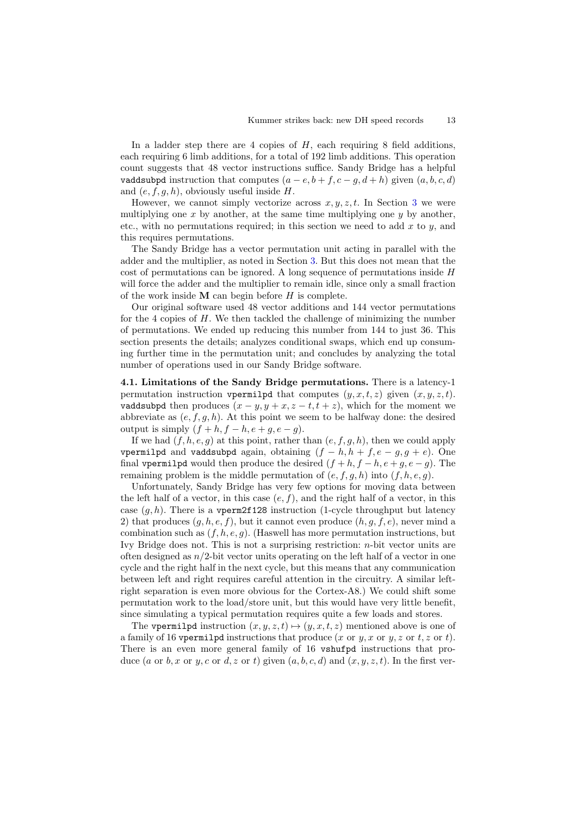In a ladder step there are 4 copies of  $H$ , each requiring 8 field additions, each requiring 6 limb additions, for a total of 192 limb additions. This operation count suggests that 48 vector instructions suffice. Sandy Bridge has a helpful vaddsubpd instruction that computes  $(a - e, b + f, c - g, d + h)$  given  $(a, b, c, d)$ and  $(e, f, g, h)$ , obviously useful inside H.

However, we cannot simply vectorize across  $x, y, z, t$ . In Section [3](#page-7-0) we were multiplying one x by another, at the same time multiplying one  $y$  by another, etc., with no permutations required; in this section we need to add  $x$  to  $y$ , and this requires permutations.

The Sandy Bridge has a vector permutation unit acting in parallel with the adder and the multiplier, as noted in Section [3.](#page-7-0) But this does not mean that the cost of permutations can be ignored. A long sequence of permutations inside H will force the adder and the multiplier to remain idle, since only a small fraction of the work inside  $M$  can begin before  $H$  is complete.

Our original software used 48 vector additions and 144 vector permutations for the 4 copies of  $H$ . We then tackled the challenge of minimizing the number of permutations. We ended up reducing this number from 144 to just 36. This section presents the details; analyzes conditional swaps, which end up consuming further time in the permutation unit; and concludes by analyzing the total number of operations used in our Sandy Bridge software.

4.1. Limitations of the Sandy Bridge permutations. There is a latency-1 permutation instruction vpermilpd that computes  $(y, x, t, z)$  given  $(x, y, z, t)$ . vaddsubpd then produces  $(x - y, y + x, z - t, t + z)$ , which for the moment we abbreviate as  $(e, f, g, h)$ . At this point we seem to be halfway done: the desired output is simply  $(f + h, f - h, e + g, e - g)$ .

If we had  $(f, h, e, q)$  at this point, rather than  $(e, f, q, h)$ , then we could apply vpermilpd and vaddsubpd again, obtaining  $(f - h, h + f, e - g, g + e)$ . One final vpermilpd would then produce the desired  $(f + h, f - h, e + g, e - g)$ . The remaining problem is the middle permutation of  $(e, f, q, h)$  into  $(f, h, e, q)$ .

Unfortunately, Sandy Bridge has very few options for moving data between the left half of a vector, in this case  $(e, f)$ , and the right half of a vector, in this case  $(q, h)$ . There is a vperm2f128 instruction (1-cycle throughput but latency 2) that produces  $(g, h, e, f)$ , but it cannot even produce  $(h, g, f, e)$ , never mind a combination such as  $(f, h, e, g)$ . (Haswell has more permutation instructions, but Ivy Bridge does not. This is not a surprising restriction:  $n$ -bit vector units are often designed as  $n/2$ -bit vector units operating on the left half of a vector in one cycle and the right half in the next cycle, but this means that any communication between left and right requires careful attention in the circuitry. A similar leftright separation is even more obvious for the Cortex-A8.) We could shift some permutation work to the load/store unit, but this would have very little benefit, since simulating a typical permutation requires quite a few loads and stores.

The vpermilpd instruction  $(x, y, z, t) \mapsto (y, x, t, z)$  mentioned above is one of a family of 16 vpermilpd instructions that produce  $(x \text{ or } y, x \text{ or } y, z \text{ or } t, z \text{ or } t)$ . There is an even more general family of 16 vshufpd instructions that produce (a or b, x or y, c or d, z or t) given  $(a, b, c, d)$  and  $(x, y, z, t)$ . In the first ver-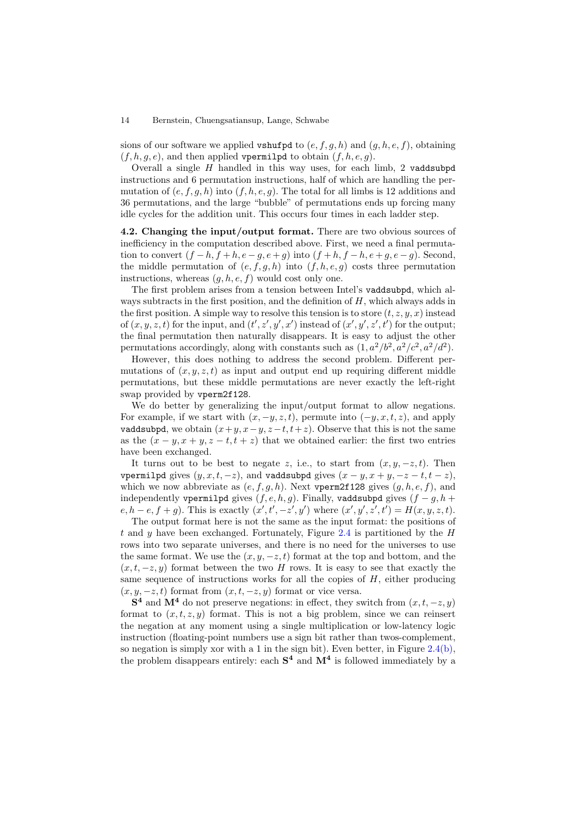sions of our software we applied vshufpd to  $(e, f, g, h)$  and  $(g, h, e, f)$ , obtaining  $(f, h, g, e)$ , and then applied vpermilpd to obtain  $(f, h, e, g)$ .

Overall a single  $H$  handled in this way uses, for each limb, 2 vaddsubpd instructions and 6 permutation instructions, half of which are handling the permutation of  $(e, f, g, h)$  into  $(f, h, e, g)$ . The total for all limbs is 12 additions and 36 permutations, and the large "bubble" of permutations ends up forcing many idle cycles for the addition unit. This occurs four times in each ladder step.

4.2. Changing the input/output format. There are two obvious sources of inefficiency in the computation described above. First, we need a final permutation to convert  $(f-h, f+h, e-g, e+g)$  into  $(f+h, f-h, e+g, e-g)$ . Second, the middle permutation of  $(e, f, g, h)$  into  $(f, h, e, g)$  costs three permutation instructions, whereas  $(g, h, e, f)$  would cost only one.

The first problem arises from a tension between Intel's vaddsubpd, which always subtracts in the first position, and the definition of  $H$ , which always adds in the first position. A simple way to resolve this tension is to store  $(t, z, y, x)$  instead of  $(x, y, z, t)$  for the input, and  $(t', z', y', x')$  instead of  $(x', y', z', t')$  for the output; the final permutation then naturally disappears. It is easy to adjust the other permutations accordingly, along with constants such as  $(1, a^2/b^2, a^2/c^2, a^2/d^2)$ .

However, this does nothing to address the second problem. Different permutations of  $(x, y, z, t)$  as input and output end up requiring different middle permutations, but these middle permutations are never exactly the left-right swap provided by vperm2f128.

We do better by generalizing the input/output format to allow negations. For example, if we start with  $(x, -y, z, t)$ , permute into  $(-y, x, t, z)$ , and apply vaddsubpd, we obtain  $(x+y, x-y, z-t, t+z)$ . Observe that this is not the same as the  $(x - y, x + y, z - t, t + z)$  that we obtained earlier: the first two entries have been exchanged.

It turns out to be best to negate z, i.e., to start from  $(x, y, -z, t)$ . Then vpermilpd gives  $(y, x, t, -z)$ , and vaddsubpd gives  $(x - y, x + y, -z - t, t - z)$ , which we now abbreviate as  $(e, f, g, h)$ . Next vperm2f128 gives  $(g, h, e, f)$ , and independently vpermilpd gives  $(f, e, h, g)$ . Finally, vaddsubpd gives  $(f - g, h + g)$  $e, h - e, f + g$ ). This is exactly  $(x', t', -z', y')$  where  $(x', y', z', t') = H(x, y, z, t)$ .

The output format here is not the same as the input format: the positions of t and y have been exchanged. Fortunately, Figure [2.4](#page-7-1) is partitioned by the  $H$ rows into two separate universes, and there is no need for the universes to use the same format. We use the  $(x, y, -z, t)$  format at the top and bottom, and the  $(x, t, -z, y)$  format between the two H rows. It is easy to see that exactly the same sequence of instructions works for all the copies of  $H$ , either producing  $(x, y, -z, t)$  format from  $(x, t, -z, y)$  format or vice versa.

 $S<sup>4</sup>$  and  $M<sup>4</sup>$  do not preserve negations: in effect, they switch from  $(x, t, -z, y)$ format to  $(x, t, z, y)$  format. This is not a big problem, since we can reinsert the negation at any moment using a single multiplication or low-latency logic instruction (floating-point numbers use a sign bit rather than twos-complement, so negation is simply xor with a 1 in the sign bit). Even better, in Figure [2.4\(b\),](#page-7-2) the problem disappears entirely: each  $S<sup>4</sup>$  and  $M<sup>4</sup>$  is followed immediately by a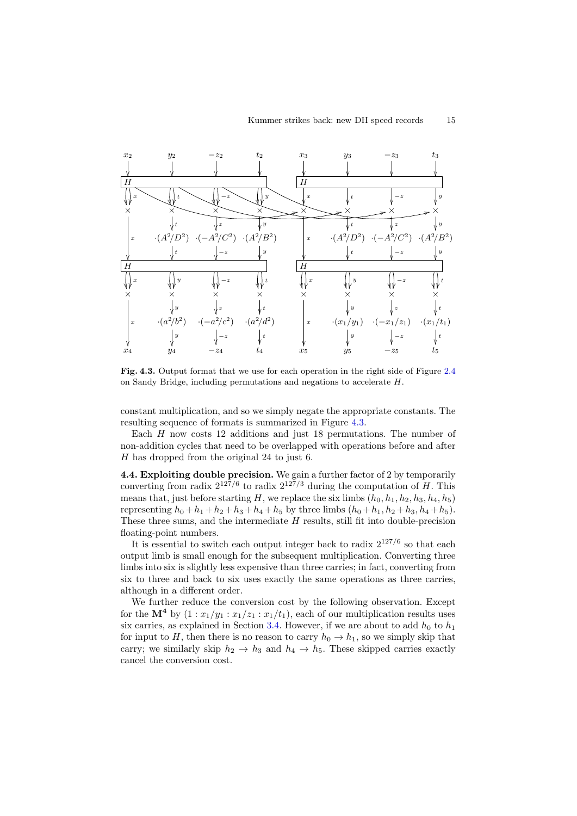

<span id="page-14-0"></span>Fig. 4.3. Output format that we use for each operation in the right side of Figure [2.4](#page-7-1) on Sandy Bridge, including permutations and negations to accelerate H.

constant multiplication, and so we simply negate the appropriate constants. The resulting sequence of formats is summarized in Figure [4.3.](#page-14-0)

Each  $H$  now costs 12 additions and just 18 permutations. The number of non-addition cycles that need to be overlapped with operations before and after H has dropped from the original 24 to just 6.

<span id="page-14-1"></span>4.4. Exploiting double precision. We gain a further factor of 2 by temporarily converting from radix  $2^{127/6}$  to radix  $2^{127/3}$  during the computation of H. This means that, just before starting H, we replace the six limbs  $(h_0, h_1, h_2, h_3, h_4, h_5)$ representing  $h_0 + h_1 + h_2 + h_3 + h_4 + h_5$  by three limbs  $(h_0 + h_1, h_2 + h_3, h_4 + h_5)$ . These three sums, and the intermediate  $H$  results, still fit into double-precision floating-point numbers.

It is essential to switch each output integer back to radix  $2^{127/6}$  so that each output limb is small enough for the subsequent multiplication. Converting three limbs into six is slightly less expensive than three carries; in fact, converting from six to three and back to six uses exactly the same operations as three carries, although in a different order.

We further reduce the conversion cost by the following observation. Except for the  $\mathbf{M}^4$  by  $(1 : x_1/y_1 : x_1/z_1 : x_1/t_1)$ , each of our multiplication results uses six carries, as explained in Section [3.4.](#page-10-0) However, if we are about to add  $h_0$  to  $h_1$ for input to H, then there is no reason to carry  $h_0 \to h_1$ , so we simply skip that carry; we similarly skip  $h_2 \to h_3$  and  $h_4 \to h_5$ . These skipped carries exactly cancel the conversion cost.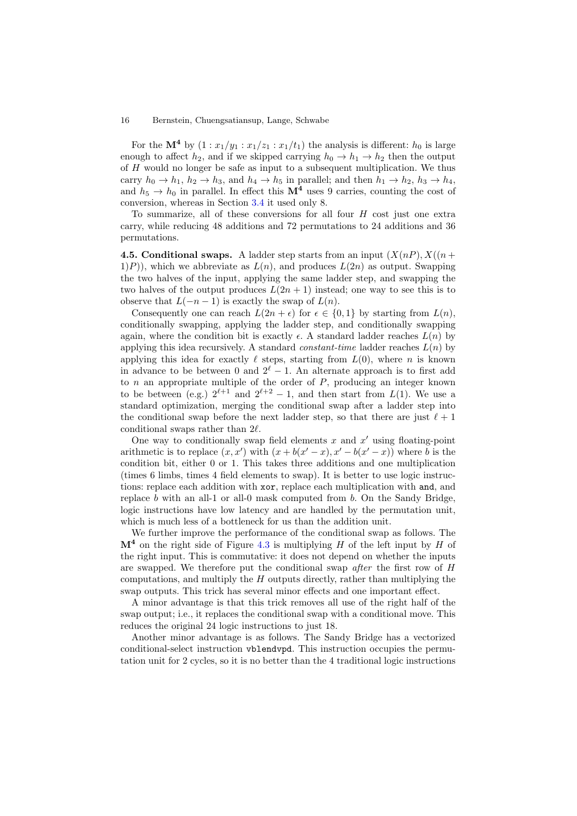For the  $\mathbf{M}^4$  by  $(1 : x_1/y_1 : x_1/z_1 : x_1/t_1)$  the analysis is different:  $h_0$  is large enough to affect  $h_2$ , and if we skipped carrying  $h_0 \to h_1 \to h_2$  then the output of H would no longer be safe as input to a subsequent multiplication. We thus carry  $h_0 \to h_1$ ,  $h_2 \to h_3$ , and  $h_4 \to h_5$  in parallel; and then  $h_1 \to h_2$ ,  $h_3 \to h_4$ , and  $h_5 \rightarrow h_0$  in parallel. In effect this  $\mathbf{M}^4$  uses 9 carries, counting the cost of conversion, whereas in Section [3.4](#page-10-0) it used only 8.

To summarize, all of these conversions for all four  $H$  cost just one extra carry, while reducing 48 additions and 72 permutations to 24 additions and 36 permutations.

<span id="page-15-0"></span>4.5. Conditional swaps. A ladder step starts from an input  $(X(n), X(n))$  $(1)P$ ), which we abbreviate as  $L(n)$ , and produces  $L(2n)$  as output. Swapping the two halves of the input, applying the same ladder step, and swapping the two halves of the output produces  $L(2n + 1)$  instead; one way to see this is to observe that  $L(-n-1)$  is exactly the swap of  $L(n)$ .

Consequently one can reach  $L(2n + \epsilon)$  for  $\epsilon \in \{0, 1\}$  by starting from  $L(n)$ , conditionally swapping, applying the ladder step, and conditionally swapping again, where the condition bit is exactly  $\epsilon$ . A standard ladder reaches  $L(n)$  by applying this idea recursively. A standard *constant-time* ladder reaches  $L(n)$  by applying this idea for exactly  $\ell$  steps, starting from  $L(0)$ , where n is known in advance to be between 0 and  $2^{\ell} - 1$ . An alternate approach is to first add to  $n$  an appropriate multiple of the order of  $P$ , producing an integer known to be between (e.g.)  $2^{\ell+1}$  and  $2^{\ell+2} - 1$ , and then start from  $L(1)$ . We use a standard optimization, merging the conditional swap after a ladder step into the conditional swap before the next ladder step, so that there are just  $\ell + 1$ conditional swaps rather than  $2\ell$ .

One way to conditionally swap field elements  $x$  and  $x'$  using floating-point arithmetic is to replace  $(x, x')$  with  $(x + b(x' - x), x' - b(x' - x))$  where b is the condition bit, either 0 or 1. This takes three additions and one multiplication (times 6 limbs, times 4 field elements to swap). It is better to use logic instructions: replace each addition with xor, replace each multiplication with and, and replace b with an all-1 or all-0 mask computed from b. On the Sandy Bridge, logic instructions have low latency and are handled by the permutation unit, which is much less of a bottleneck for us than the addition unit.

We further improve the performance of the conditional swap as follows. The  $M<sup>4</sup>$  on the right side of Figure [4.3](#page-14-0) is multiplying H of the left input by H of the right input. This is commutative: it does not depend on whether the inputs are swapped. We therefore put the conditional swap after the first row of H computations, and multiply the  $H$  outputs directly, rather than multiplying the swap outputs. This trick has several minor effects and one important effect.

A minor advantage is that this trick removes all use of the right half of the swap output; i.e., it replaces the conditional swap with a conditional move. This reduces the original 24 logic instructions to just 18.

Another minor advantage is as follows. The Sandy Bridge has a vectorized conditional-select instruction vblendvpd. This instruction occupies the permutation unit for 2 cycles, so it is no better than the 4 traditional logic instructions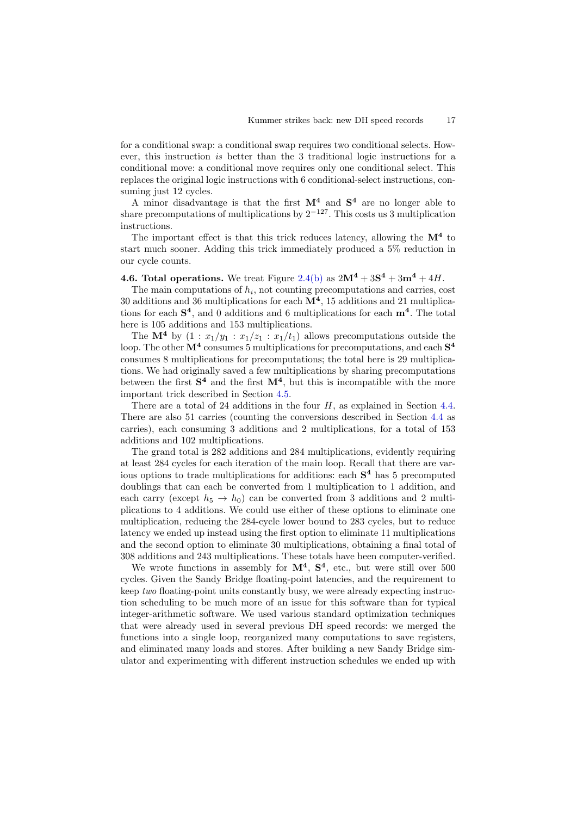for a conditional swap: a conditional swap requires two conditional selects. However, this instruction is better than the 3 traditional logic instructions for a conditional move: a conditional move requires only one conditional select. This replaces the original logic instructions with 6 conditional-select instructions, consuming just 12 cycles.

A minor disadvantage is that the first  $M^4$  and  $S^4$  are no longer able to share precomputations of multiplications by  $2^{-127}$ . This costs us 3 multiplication instructions.

The important effect is that this trick reduces latency, allowing the  $M<sup>4</sup>$  to start much sooner. Adding this trick immediately produced a 5% reduction in our cycle counts.

## **4.6. Total operations.** We treat Figure [2.4\(b\)](#page-7-2) as  $2M^4 + 3S^4 + 3m^4 + 4H$ .

The main computations of  $h_i$ , not counting precomputations and carries, cost 30 additions and 36 multiplications for each  $M<sup>4</sup>$ , 15 additions and 21 multiplications for each  $S<sup>4</sup>$ , and 0 additions and 6 multiplications for each  $m<sup>4</sup>$ . The total here is 105 additions and 153 multiplications.

The  $\mathbf{M}^4$  by  $(1 : x_1/y_1 : x_1/z_1 : x_1/t_1)$  allows precomputations outside the loop. The other  $M^4$  consumes 5 multiplications for precomputations, and each  $S^4$ consumes 8 multiplications for precomputations; the total here is 29 multiplications. We had originally saved a few multiplications by sharing precomputations between the first  $S<sup>4</sup>$  and the first  $M<sup>4</sup>$ , but this is incompatible with the more important trick described in Section [4.5.](#page-15-0)

There are a total of 24 additions in the four  $H$ , as explained in Section [4.4.](#page-14-1) There are also 51 carries (counting the conversions described in Section [4.4](#page-14-1) as carries), each consuming 3 additions and 2 multiplications, for a total of 153 additions and 102 multiplications.

The grand total is 282 additions and 284 multiplications, evidently requiring at least 284 cycles for each iteration of the main loop. Recall that there are various options to trade multiplications for additions: each S <sup>4</sup> has 5 precomputed doublings that can each be converted from 1 multiplication to 1 addition, and each carry (except  $h_5 \rightarrow h_0$ ) can be converted from 3 additions and 2 multiplications to 4 additions. We could use either of these options to eliminate one multiplication, reducing the 284-cycle lower bound to 283 cycles, but to reduce latency we ended up instead using the first option to eliminate 11 multiplications and the second option to eliminate 30 multiplications, obtaining a final total of 308 additions and 243 multiplications. These totals have been computer-verified.

We wrote functions in assembly for  $M^4$ ,  $S^4$ , etc., but were still over 500 cycles. Given the Sandy Bridge floating-point latencies, and the requirement to keep two floating-point units constantly busy, we were already expecting instruction scheduling to be much more of an issue for this software than for typical integer-arithmetic software. We used various standard optimization techniques that were already used in several previous DH speed records: we merged the functions into a single loop, reorganized many computations to save registers, and eliminated many loads and stores. After building a new Sandy Bridge simulator and experimenting with different instruction schedules we ended up with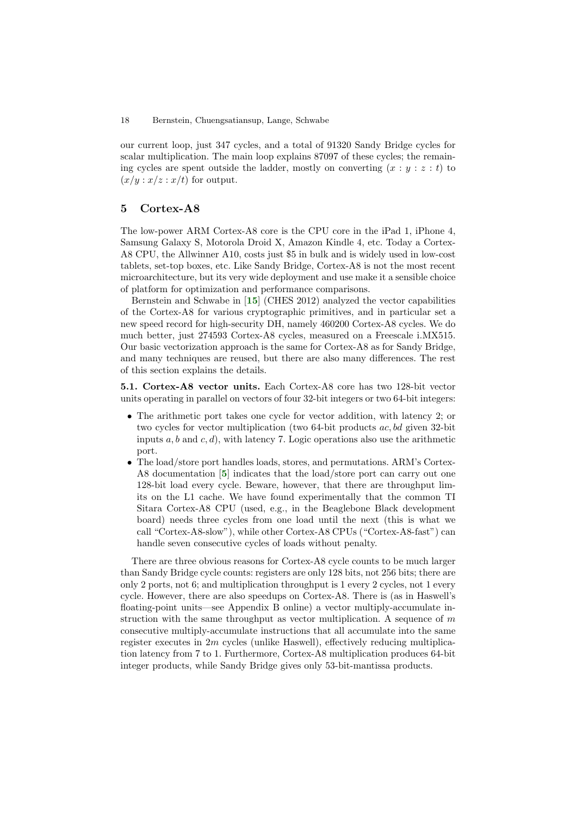our current loop, just 347 cycles, and a total of 91320 Sandy Bridge cycles for scalar multiplication. The main loop explains 87097 of these cycles; the remaining cycles are spent outside the ladder, mostly on converting  $(x : y : z : t)$  to  $(x/y : x/z : x/t)$  for output.

# <span id="page-17-0"></span>5 Cortex-A8

The low-power ARM Cortex-A8 core is the CPU core in the iPad 1, iPhone 4, Samsung Galaxy S, Motorola Droid X, Amazon Kindle 4, etc. Today a Cortex-A8 CPU, the Allwinner A10, costs just \$5 in bulk and is widely used in low-cost tablets, set-top boxes, etc. Like Sandy Bridge, Cortex-A8 is not the most recent microarchitecture, but its very wide deployment and use make it a sensible choice of platform for optimization and performance comparisons.

Bernstein and Schwabe in [[15](#page-20-10)] (CHES 2012) analyzed the vector capabilities of the Cortex-A8 for various cryptographic primitives, and in particular set a new speed record for high-security DH, namely 460200 Cortex-A8 cycles. We do much better, just 274593 Cortex-A8 cycles, measured on a Freescale i.MX515. Our basic vectorization approach is the same for Cortex-A8 as for Sandy Bridge, and many techniques are reused, but there are also many differences. The rest of this section explains the details.

5.1. Cortex-A8 vector units. Each Cortex-A8 core has two 128-bit vector units operating in parallel on vectors of four 32-bit integers or two 64-bit integers:

- The arithmetic port takes one cycle for vector addition, with latency 2; or two cycles for vector multiplication (two 64-bit products ac, bd given 32-bit inputs  $a, b$  and  $c, d$ ), with latency 7. Logic operations also use the arithmetic port.
- The load/store port handles loads, stores, and permutations. ARM's Cortex-A8 documentation [[5](#page-19-4)] indicates that the load/store port can carry out one 128-bit load every cycle. Beware, however, that there are throughput limits on the L1 cache. We have found experimentally that the common TI Sitara Cortex-A8 CPU (used, e.g., in the Beaglebone Black development board) needs three cycles from one load until the next (this is what we call "Cortex-A8-slow"), while other Cortex-A8 CPUs ("Cortex-A8-fast") can handle seven consecutive cycles of loads without penalty.

There are three obvious reasons for Cortex-A8 cycle counts to be much larger than Sandy Bridge cycle counts: registers are only 128 bits, not 256 bits; there are only 2 ports, not 6; and multiplication throughput is 1 every 2 cycles, not 1 every cycle. However, there are also speedups on Cortex-A8. There is (as in Haswell's floating-point units—see Appendix B online) a vector multiply-accumulate instruction with the same throughput as vector multiplication. A sequence of  $m$ consecutive multiply-accumulate instructions that all accumulate into the same register executes in 2m cycles (unlike Haswell), effectively reducing multiplication latency from 7 to 1. Furthermore, Cortex-A8 multiplication produces 64-bit integer products, while Sandy Bridge gives only 53-bit-mantissa products.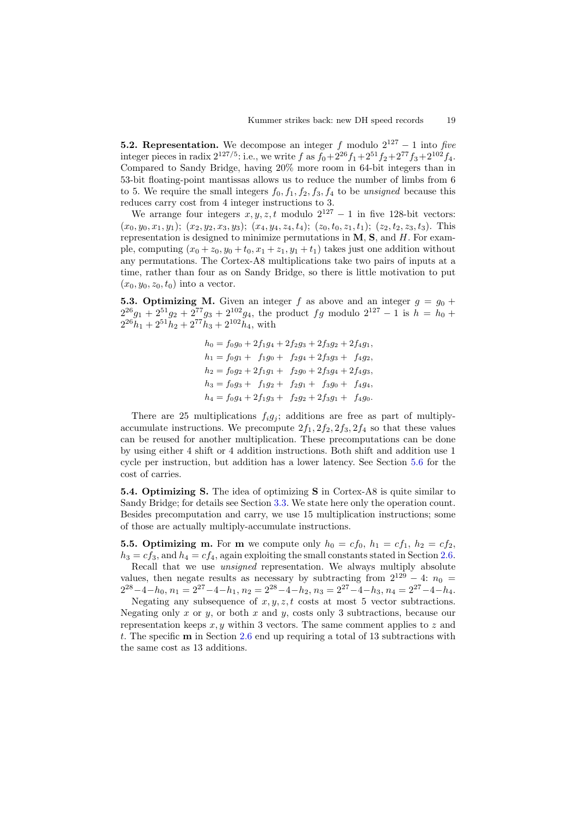**5.2. Representation.** We decompose an integer f modulo  $2^{127} - 1$  into five integer pieces in radix  $2^{127/5}$ : i.e., we write f as  $f_0 + 2^{26} f_1 + 2^{51} f_2 + 2^{77} f_3 + 2^{102} f_4$ . Compared to Sandy Bridge, having 20% more room in 64-bit integers than in 53-bit floating-point mantissas allows us to reduce the number of limbs from 6 to 5. We require the small integers  $f_0, f_1, f_2, f_3, f_4$  to be unsigned because this reduces carry cost from 4 integer instructions to 3.

We arrange four integers  $x, y, z, t$  modulo  $2^{127} - 1$  in five 128-bit vectors:  $(x_0, y_0, x_1, y_1); (x_2, y_2, x_3, y_3); (x_4, y_4, z_4, t_4); (z_0, t_0, z_1, t_1); (z_2, t_2, z_3, t_3).$  This representation is designed to minimize permutations in M, S, and H. For example, computing  $(x_0 + z_0, y_0 + t_0, x_1 + z_1, y_1 + t_1)$  takes just one addition without any permutations. The Cortex-A8 multiplications take two pairs of inputs at a time, rather than four as on Sandy Bridge, so there is little motivation to put  $(x_0, y_0, z_0, t_0)$  into a vector.

**5.3. Optimizing M.** Given an integer f as above and an integer  $g = g_0 +$  $2^{26}g_1 + 2^{51}g_2 + 2^{77}g_3 + 2^{102}g_4$ , the product fg modulo  $2^{127} - 1$  is  $h = h_0 +$  $2^{26}h_1 + 2^{51}h_2 + 2^{77}h_3 + 2^{102}h_4$ , with

> $h_0 = f_0g_0 + 2f_1g_4 + 2f_2g_3 + 2f_3g_2 + 2f_4g_1,$  $h_1 = f_0q_1 + f_1q_0 + f_2q_4 + 2f_3q_3 + f_4q_2$  $h_2 = f_0g_2 + 2f_1g_1 + f_2g_0 + 2f_3g_4 + 2f_4g_3,$  $h_3 = f_0g_3 + f_1g_2 + f_2g_1 + f_3g_0 + f_4g_4,$  $h_4 = f_0g_4 + 2f_1g_3 + f_2g_2 + 2f_3g_1 + f_4g_0.$

There are 25 multiplications  $f_i g_j$ ; additions are free as part of multiplyaccumulate instructions. We precompute  $2f_1$ ,  $2f_2$ ,  $2f_3$ ,  $2f_4$  so that these values can be reused for another multiplication. These precomputations can be done by using either 4 shift or 4 addition instructions. Both shift and addition use 1 cycle per instruction, but addition has a lower latency. See Section [5.6](#page-19-5) for the cost of carries.

5.4. Optimizing S. The idea of optimizing S in Cortex-A8 is quite similar to Sandy Bridge; for details see Section [3.3.](#page-10-1) We state here only the operation count. Besides precomputation and carry, we use 15 multiplication instructions; some of those are actually multiply-accumulate instructions.

**5.5. Optimizing m.** For **m** we compute only  $h_0 = cf_0$ ,  $h_1 = cf_1$ ,  $h_2 = cf_2$ ,  $h_3 = cf_3$ , and  $h_4 = cf_4$ , again exploiting the small constants stated in Section [2.6.](#page-7-3)

Recall that we use unsigned representation. We always multiply absolute values, then negate results as necessary by subtracting from  $2^{129} - 4: n_0 =$  $2^{28}-4-h_0$ ,  $n_1 = 2^{27}-4-h_1$ ,  $n_2 = 2^{28}-4-h_2$ ,  $n_3 = 2^{27}-4-h_3$ ,  $n_4 = 2^{27}-4-h_4$ .

Negating any subsequence of  $x, y, z, t$  costs at most 5 vector subtractions. Negating only x or y, or both x and y, costs only 3 subtractions, because our representation keeps  $x, y$  within 3 vectors. The same comment applies to z and t. The specific m in Section [2.6](#page-7-3) end up requiring a total of 13 subtractions with the same cost as 13 additions.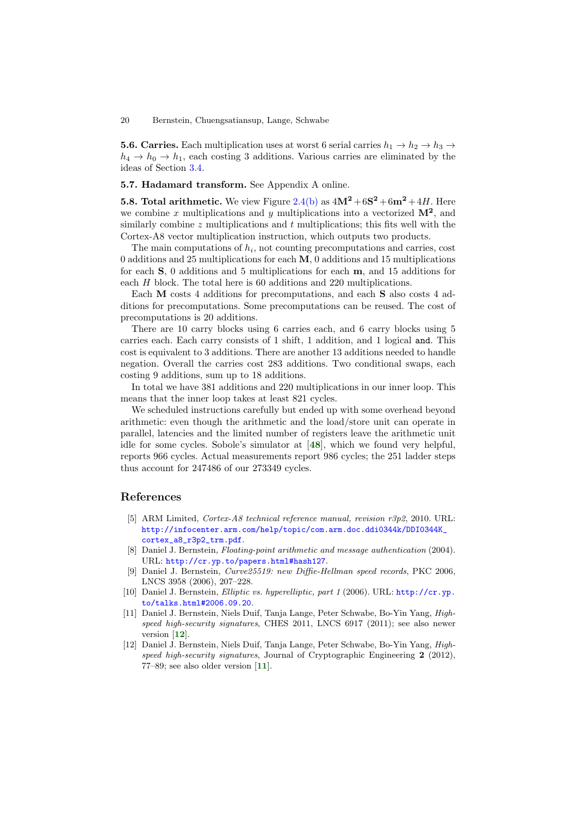<span id="page-19-5"></span>**5.6. Carries.** Each multiplication uses at worst 6 serial carries  $h_1 \rightarrow h_2 \rightarrow h_3 \rightarrow$  $h_4 \rightarrow h_0 \rightarrow h_1$ , each costing 3 additions. Various carries are eliminated by the ideas of Section [3.4.](#page-10-0)

### 5.7. Hadamard transform. See Appendix A online.

**5.8. Total arithmetic.** We view Figure [2.4\(b\)](#page-7-2) as  $4M^2 + 6S^2 + 6m^2 + 4H$ . Here we combine x multiplications and y multiplications into a vectorized  $\mathbf{M}^2$ , and similarly combine  $z$  multiplications and  $t$  multiplications; this fits well with the Cortex-A8 vector multiplication instruction, which outputs two products.

The main computations of  $h_i$ , not counting precomputations and carries, cost 0 additions and 25 multiplications for each M, 0 additions and 15 multiplications for each S, 0 additions and 5 multiplications for each m, and 15 additions for each H block. The total here is 60 additions and 220 multiplications.

Each M costs 4 additions for precomputations, and each S also costs 4 additions for precomputations. Some precomputations can be reused. The cost of precomputations is 20 additions.

There are 10 carry blocks using 6 carries each, and 6 carry blocks using 5 carries each. Each carry consists of 1 shift, 1 addition, and 1 logical and. This cost is equivalent to 3 additions. There are another 13 additions needed to handle negation. Overall the carries cost 283 additions. Two conditional swaps, each costing 9 additions, sum up to 18 additions.

In total we have 381 additions and 220 multiplications in our inner loop. This means that the inner loop takes at least 821 cycles.

We scheduled instructions carefully but ended up with some overhead beyond arithmetic: even though the arithmetic and the load/store unit can operate in parallel, latencies and the limited number of registers leave the arithmetic unit idle for some cycles. Sobole's simulator at [[48](#page-20-19)], which we found very helpful, reports 966 cycles. Actual measurements report 986 cycles; the 251 ladder steps thus account for 247486 of our 273349 cycles.

## References

- <span id="page-19-4"></span>[5] ARM Limited, Cortex-A8 technical reference manual, revision r3p2, 2010. URL: [http://infocenter.arm.com/help/topic/com.arm.doc.ddi0344k/DDI0344K\\_](http://infocenter.arm.com/help/topic/com.arm.doc.ddi0344k/DDI0344K_cortex_a8_r3p2_trm.pdf) [cortex\\_a8\\_r3p2\\_trm.pdf](http://infocenter.arm.com/help/topic/com.arm.doc.ddi0344k/DDI0344K_cortex_a8_r3p2_trm.pdf).
- <span id="page-19-3"></span>[8] Daniel J. Bernstein, Floating-point arithmetic and message authentication (2004). URL: <http://cr.yp.to/papers.html#hash127>.
- <span id="page-19-1"></span>[9] Daniel J. Bernstein, Curve25519: new Diffie-Hellman speed records, PKC 2006, LNCS 3958 (2006), 207–228.
- <span id="page-19-2"></span>[10] Daniel J. Bernstein, Elliptic vs. hyperelliptic, part 1 (2006). URL: [http://cr.yp.](http://cr.yp.to/talks.html#2006.09.20) [to/talks.html#2006.09.20](http://cr.yp.to/talks.html#2006.09.20).
- <span id="page-19-0"></span>[11] Daniel J. Bernstein, Niels Duif, Tanja Lange, Peter Schwabe, Bo-Yin Yang, Highspeed high-security signatures, CHES 2011, LNCS 6917 (2011); see also newer version [[12](#page-19-6)].
- <span id="page-19-6"></span>[12] Daniel J. Bernstein, Niels Duif, Tanja Lange, Peter Schwabe, Bo-Yin Yang, Highspeed high-security signatures, Journal of Cryptographic Engineering 2 (2012), 77–89; see also older version [[11](#page-19-0)].